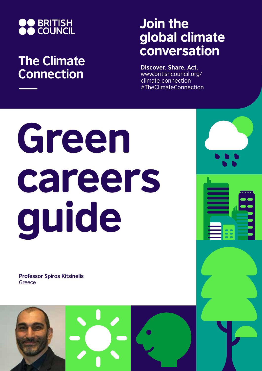

## **The Climate Connection**

## Join the global climate conversation

**Discover. Share. Act.** www.britishcouncil.org/ climate-connection #TheClimateConnection

# Green careers guide

**Professor Spiros Kitsinelis Greece** 

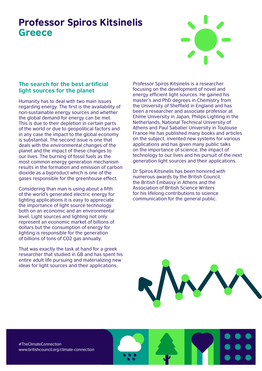### Professor Spiros Kitsinelis **Greece**



#### **The search for the best artificial light sources for the planet**

Humanity has to deal with two main issues regarding energy. The first is the availability of non-sustainable energy sources and whether the global demand for energy can be met. This is due to their depletion in certain parts of the world or due to geopolitical factors and in any case the impact to the global economy is substantial. The second issue is one that deals with the environmental changes of the planet and the impact of these changes to our lives. The burning of fossil fuels as the most common energy generation mechanism results in the formation and emission of carbon dioxide as a byproduct which is one of the gases responsible for the greenhouse effect.

Considering than man is using about a fifth of the world's generated electric energy for lighting applications it is easy to appreciate the importance of light source technology both on an economic and an environmental level. Light sources and lighting not only represent an economic market of billions of dollars but the consumption of energy for lighting is responsible for the generation of billions of tons of CO2 gas annually.

That was exactly the task at hand for a greek researcher that studied in GB and has spent his entire adult life pursuing and materializing new ideas for light sources and their applications.

Professor Spiros Kitsinelis is a researcher focusing on the development of novel and energy efficient light sources. He gained his master's and PhD degrees in Chemistry from the University of Sheffield in England and has been a researcher and associate professor at Ehime University in Japan, Philips Lighting in the Netherlands, National Technical University of Athens and Paul Sabatier University in Toulouse France He has published many books and articles on the subject, invented new systems for various applications and has given many public talks on the importance of science, the impact of technology to our lives and his pursuit of the next generation light sources and their applications.

Dr Spiros Kitsinelis has been honored with numerous awards by the British Council, the British Embassy in Athens and the Association of British Science Writers for his lifelong contributions to science communication for the general public.



#TheClimateConnection www.britishcouncil.org/climate-connection